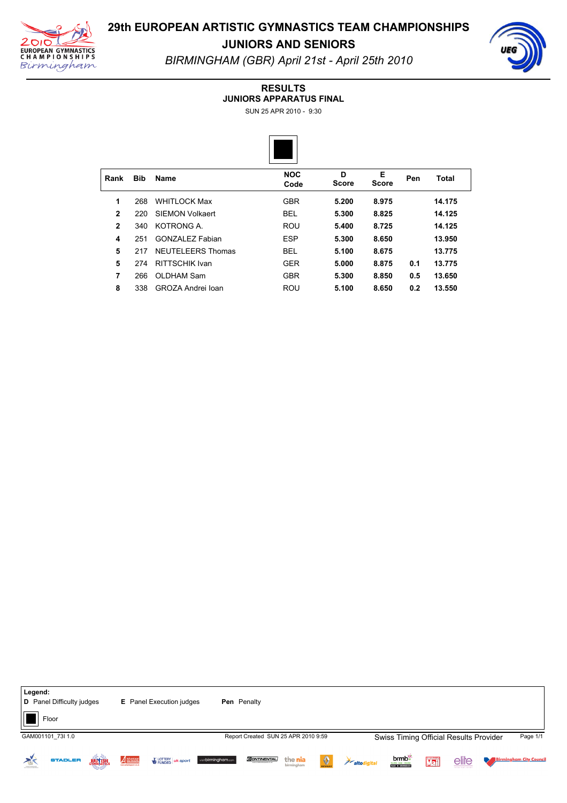



**JUNIORS AND SENIORS** *BIRMINGHAM (GBR) April 21st April 25th 2010*

#### **RESULTS**

**JUNIORS APPARATUS FINAL**

SUN 25 APR 2010 - 9:30



| Rank           | <b>Bib</b> | Name                 | <b>NOC</b><br>Code | D<br><b>Score</b> | Е<br><b>Score</b> | Pen | Total  |  |
|----------------|------------|----------------------|--------------------|-------------------|-------------------|-----|--------|--|
| 1              | 268        | <b>WHITI OCK Max</b> | <b>GBR</b>         | 5.200             | 8.975             |     | 14.175 |  |
| $\overline{2}$ | 220        | SIEMON Volkaert      | <b>BEL</b>         | 5.300             | 8.825             |     | 14.125 |  |
| $\mathbf{2}$   | 340        | KOTRONG A.           | ROU                | 5.400             | 8.725             |     | 14.125 |  |
| 4              | 251        | GONZAL FZ Fabian     | <b>ESP</b>         | 5.300             | 8.650             |     | 13.950 |  |
| 5              | 217        | NEUTELEERS Thomas    | <b>BEL</b>         | 5.100             | 8.675             |     | 13.775 |  |
| 5              | 274        | RITTSCHIK Ivan       | <b>GER</b>         | 5.000             | 8.875             | 0.1 | 13.775 |  |
| 7              | 266        | OLDHAM Sam           | <b>GBR</b>         | 5.300             | 8.850             | 0.5 | 13.650 |  |
| 8              | 338        | GROZA Andrei Ioan    | ROU                | 5.100             | 8.650             | 0.2 | 13.550 |  |

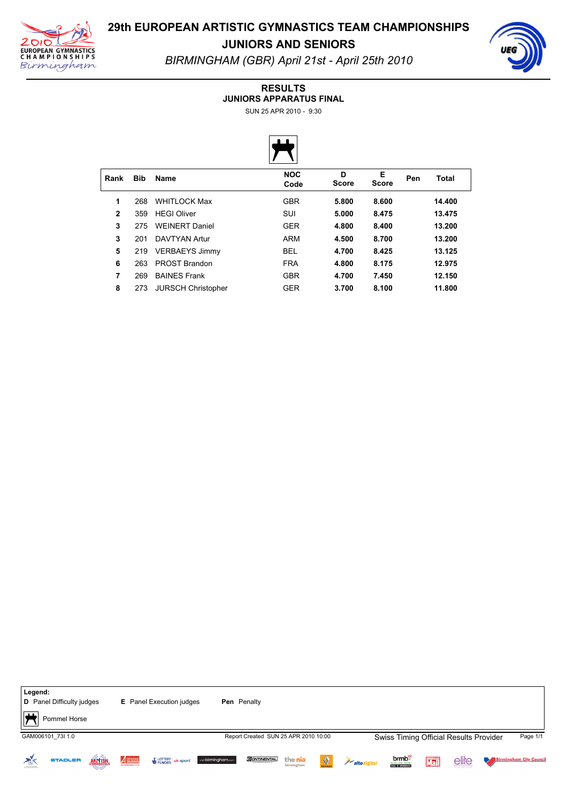



**JUNIORS AND SENIORS** *BIRMINGHAM (GBR) April 21st April 25th 2010*

#### **RESULTS**

**JUNIORS APPARATUS FINAL**

SUN 25 APR 2010 - 9:30



| Rank         | <b>Bib</b> | Name                      | <b>NOC</b><br>Code | D<br><b>Score</b> | Е<br><b>Score</b> | Pen | <b>Total</b> |  |
|--------------|------------|---------------------------|--------------------|-------------------|-------------------|-----|--------------|--|
| 1            | 268        | <b>WHITLOCK Max</b>       | <b>GBR</b>         | 5.800             | 8.600             |     | 14.400       |  |
| $\mathbf{2}$ | 359        | <b>HFGI Oliver</b>        | SUI                | 5.000             | 8.475             |     | 13.475       |  |
| 3            | 275        | <b>WEINERT Daniel</b>     | <b>GER</b>         | 4.800             | 8.400             |     | 13.200       |  |
| 3            | 201        | DAVTYAN Artur             | ARM                | 4.500             | 8.700             |     | 13.200       |  |
| 5            | 219        | <b>VERBAEYS Jimmy</b>     | <b>BEL</b>         | 4.700             | 8.425             |     | 13.125       |  |
| 6            | 263        | PROST Brandon             | <b>FRA</b>         | 4.800             | 8.175             |     | 12.975       |  |
| 7            | 269        | <b>BAINES Frank</b>       | <b>GBR</b>         | 4.700             | 7.450             |     | 12.150       |  |
| 8            | 273        | <b>JURSCH Christopher</b> | <b>GER</b>         | 3.700             | 8.100             |     | 11.800       |  |

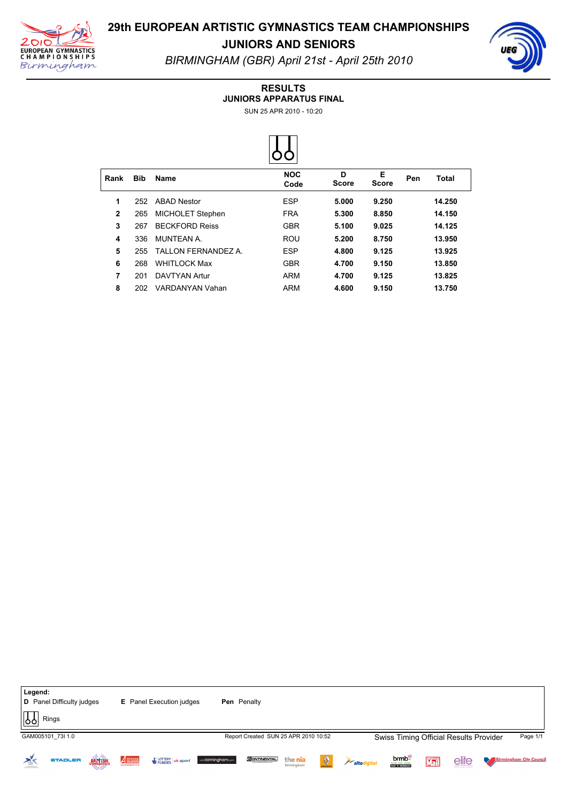

**JUNIORS AND SENIORS** *BIRMINGHAM (GBR) April 21st April 25th 2010*

#### **RESULTS**

**JUNIORS APPARATUS FINAL**

SUN 25 APR 2010 - 10:20



| Rank         | <b>Bib</b> | Name                  | <b>NOC</b><br>Code | D<br><b>Score</b> | Е<br><b>Score</b> | Pen | Total  |  |
|--------------|------------|-----------------------|--------------------|-------------------|-------------------|-----|--------|--|
| 1            | 252        | <b>ABAD Nestor</b>    | <b>ESP</b>         | 5.000             | 9.250             |     | 14.250 |  |
| $\mathbf{2}$ | 265        | MICHOLET Stephen      | <b>FRA</b>         | 5.300             | 8.850             |     | 14.150 |  |
| 3            | 267        | <b>BECKFORD Reiss</b> | <b>GBR</b>         | 5.100             | 9.025             |     | 14.125 |  |
| 4            | 336        | MUNTFAN A             | <b>ROU</b>         | 5.200             | 8.750             |     | 13.950 |  |
| 5            | 255        | TALLON FERNANDEZ A    | <b>ESP</b>         | 4.800             | 9.125             |     | 13.925 |  |
| 6            | 268        | <b>WHITI OCK Max</b>  | <b>GBR</b>         | 4.700             | 9.150             |     | 13.850 |  |
| 7            | 201        | <b>DAVTYAN Artur</b>  | ARM                | 4.700             | 9.125             |     | 13.825 |  |
| 8            | 202        | VARDANYAN Vahan       | ARM                | 4.600             | 9.150             |     | 13.750 |  |

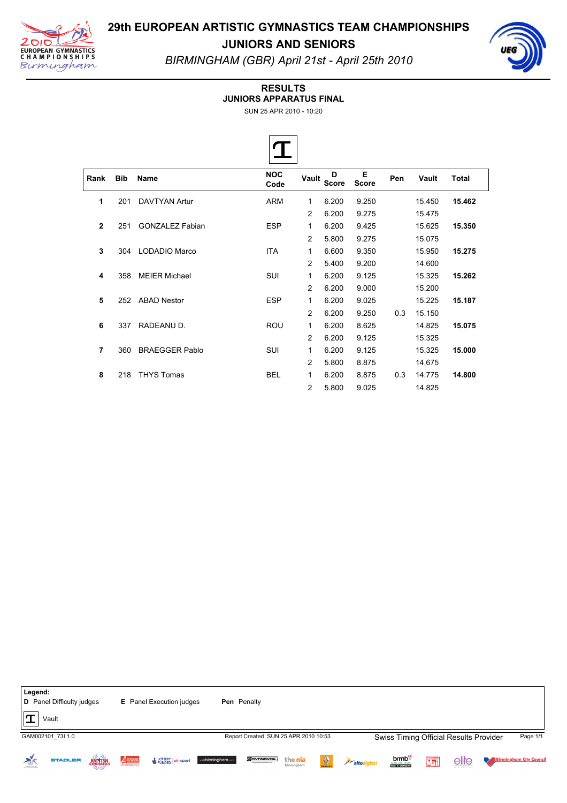



**JUNIORS AND SENIORS** *BIRMINGHAM (GBR) April 21st April 25th 2010*

#### **RESULTS**

**JUNIORS APPARATUS FINAL**

 $\sim$ 

SUN 25 APR 2010 - 10:20

|                |            |                        | п                  |               |            |                   |     |        |              |  |
|----------------|------------|------------------------|--------------------|---------------|------------|-------------------|-----|--------|--------------|--|
| Rank           | <b>Bib</b> | Name                   | <b>NOC</b><br>Code | Vault         | D<br>Score | Е<br><b>Score</b> | Pen | Vault  | <b>Total</b> |  |
| 1              | 201        | <b>DAVTYAN Artur</b>   | <b>ARM</b>         | 1             | 6.200      | 9.250             |     | 15.450 | 15.462       |  |
|                |            |                        |                    | 2             | 6.200      | 9.275             |     | 15.475 |              |  |
| $\mathbf{2}$   | 251        | <b>GONZALEZ Fabian</b> | <b>ESP</b>         | 1             | 6.200      | 9.425             |     | 15.625 | 15.350       |  |
|                |            |                        |                    | 2             | 5.800      | 9.275             |     | 15.075 |              |  |
| 3              | 304        | LODADIO Marco          | <b>ITA</b>         | 1             | 6.600      | 9.350             |     | 15.950 | 15.275       |  |
|                |            |                        |                    | 2             | 5.400      | 9.200             |     | 14.600 |              |  |
| 4              | 358        | <b>MEIER Michael</b>   | SUI                | 1             | 6.200      | 9.125             |     | 15.325 | 15.262       |  |
|                |            |                        |                    | 2             | 6.200      | 9.000             |     | 15.200 |              |  |
| 5              | 252        | <b>ABAD Nestor</b>     | <b>ESP</b>         | 1             | 6.200      | 9.025             |     | 15.225 | 15.187       |  |
|                |            |                        |                    | 2             | 6.200      | 9.250             | 0.3 | 15.150 |              |  |
| 6              | 337        | RADEANU D.             | <b>ROU</b>         | 1             | 6.200      | 8.625             |     | 14.825 | 15.075       |  |
|                |            |                        |                    | $\mathcal{P}$ | 6.200      | 9.125             |     | 15.325 |              |  |
| $\overline{7}$ | 360        | <b>BRAEGGER Pablo</b>  | SUI                | 1             | 6.200      | 9.125             |     | 15.325 | 15.000       |  |
|                |            |                        |                    | 2             | 5.800      | 8.875             |     | 14.675 |              |  |
| 8              | 218        | <b>THYS Tomas</b>      | <b>BEL</b>         | 1             | 6.200      | 8.875             | 0.3 | 14.775 | 14.800       |  |
|                |            |                        |                    | 2             | 5.800      | 9.025             |     | 14.825 |              |  |

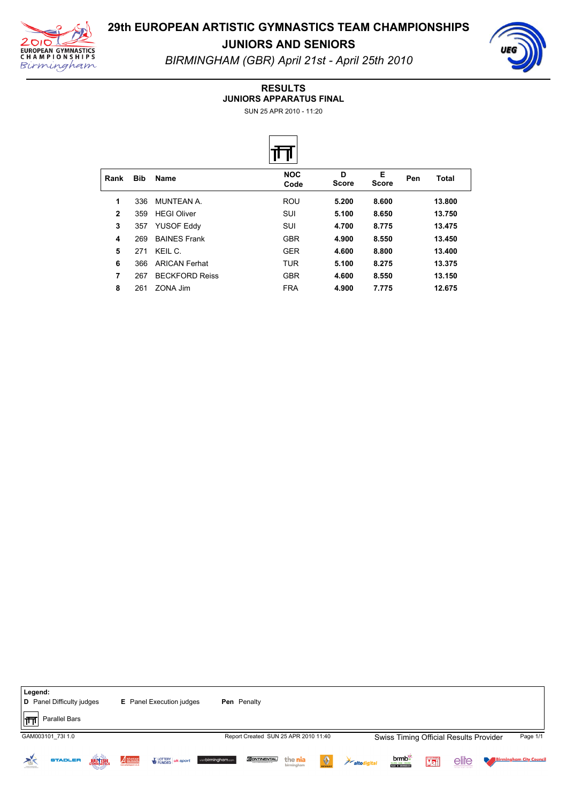

**JUNIORS AND SENIORS** *BIRMINGHAM (GBR) April 21st April 25th 2010*

#### **RESULTS**

**JUNIORS APPARATUS FINAL**

SUN 25 APR 2010 - 11:20



| Rank         | <b>Bib</b> | <b>Name</b>           | <b>NOC</b><br>Code | D<br><b>Score</b> | Е<br><b>Score</b> | Pen | Total  |
|--------------|------------|-----------------------|--------------------|-------------------|-------------------|-----|--------|
| 1            | 336        | MUNTFAN A             | ROU                | 5.200             | 8.600             |     | 13.800 |
| $\mathbf{2}$ | 359        | <b>HEGI Oliver</b>    | SUI                | 5.100             | 8.650             |     | 13.750 |
| 3            | 357        | <b>YUSOF Eddy</b>     | SUI                | 4.700             | 8.775             |     | 13.475 |
| 4            | 269        | <b>BAINES Frank</b>   | <b>GBR</b>         | 4.900             | 8.550             |     | 13.450 |
| 5            | 271        | KFII C                | <b>GER</b>         | 4.600             | 8.800             |     | 13.400 |
| 6            | 366        | <b>ARICAN Ferhat</b>  | <b>TUR</b>         | 5.100             | 8.275             |     | 13.375 |
| 7            | 267        | <b>BECKFORD Reiss</b> | <b>GBR</b>         | 4.600             | 8.550             |     | 13.150 |
| 8            | 261        | ZONA Jim              | <b>FRA</b>         | 4.900             | 7.775             |     | 12.675 |

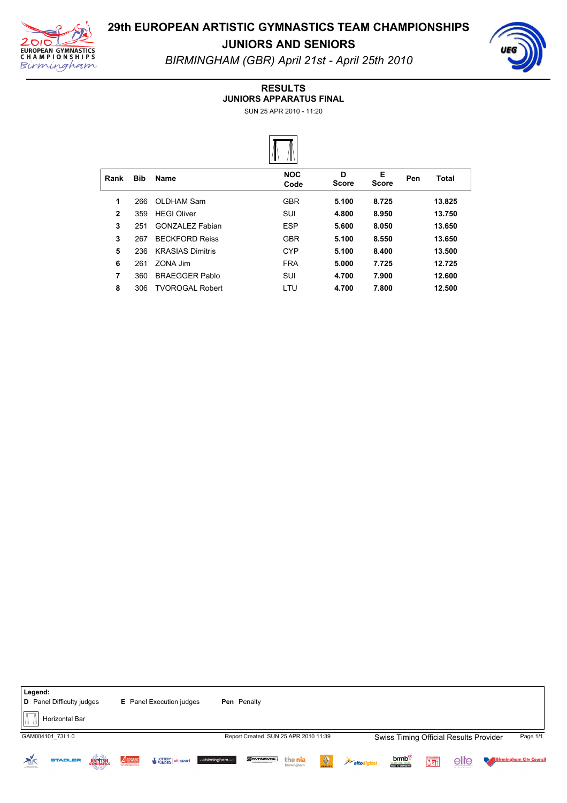

**JUNIORS AND SENIORS** *BIRMINGHAM (GBR) April 21st April 25th 2010*

#### **RESULTS**

**JUNIORS APPARATUS FINAL**

SUN 25 APR 2010 - 11:20



| Rank         | <b>Bib</b> | Name                    | <b>NOC</b><br>Code | D<br><b>Score</b> | Е<br><b>Score</b> | Pen | Total  |  |
|--------------|------------|-------------------------|--------------------|-------------------|-------------------|-----|--------|--|
| 1            | 266        | OLDHAM Sam              | <b>GBR</b>         | 5.100             | 8.725             |     | 13.825 |  |
| $\mathbf{2}$ | 359        | <b>HFGI Oliver</b>      | SUI                | 4.800             | 8.950             |     | 13.750 |  |
| 3            | 251        | <b>GONZALEZ Fabian</b>  | <b>ESP</b>         | 5.600             | 8.050             |     | 13.650 |  |
| 3            | 267        | <b>BECKFORD Reiss</b>   | <b>GBR</b>         | 5.100             | 8.550             |     | 13.650 |  |
| 5            | 236        | <b>KRASIAS Dimitris</b> | <b>CYP</b>         | 5.100             | 8.400             |     | 13.500 |  |
| 6            | 261        | 70NA Jim                | <b>FRA</b>         | 5.000             | 7.725             |     | 12.725 |  |
| 7            | 360        | <b>BRAEGGER Pablo</b>   | SUI                | 4.700             | 7.900             |     | 12.600 |  |
| 8            | 306        | <b>TVOROGAL Robert</b>  | LTU                | 4.700             | 7.800             |     | 12.500 |  |